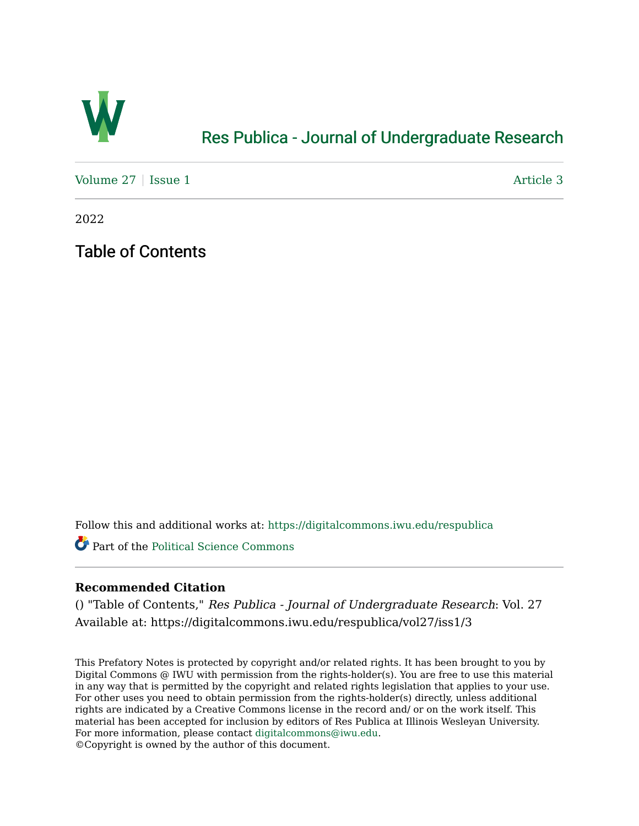

## [Res Publica - Journal of Undergraduate Research](https://digitalcommons.iwu.edu/respublica)

[Volume 27](https://digitalcommons.iwu.edu/respublica/vol27) | [Issue 1](https://digitalcommons.iwu.edu/respublica/vol27/iss1) Article 3

2022

Table of Contents

Follow this and additional works at: [https://digitalcommons.iwu.edu/respublica](https://digitalcommons.iwu.edu/respublica?utm_source=digitalcommons.iwu.edu%2Frespublica%2Fvol27%2Fiss1%2F3&utm_medium=PDF&utm_campaign=PDFCoverPages) 

Part of the [Political Science Commons](http://network.bepress.com/hgg/discipline/386?utm_source=digitalcommons.iwu.edu%2Frespublica%2Fvol27%2Fiss1%2F3&utm_medium=PDF&utm_campaign=PDFCoverPages)

## **Recommended Citation**

() "Table of Contents," Res Publica - Journal of Undergraduate Research: Vol. 27 Available at: https://digitalcommons.iwu.edu/respublica/vol27/iss1/3

This Prefatory Notes is protected by copyright and/or related rights. It has been brought to you by Digital Commons @ IWU with permission from the rights-holder(s). You are free to use this material in any way that is permitted by the copyright and related rights legislation that applies to your use. For other uses you need to obtain permission from the rights-holder(s) directly, unless additional rights are indicated by a Creative Commons license in the record and/ or on the work itself. This material has been accepted for inclusion by editors of Res Publica at Illinois Wesleyan University. For more information, please contact [digitalcommons@iwu.edu](mailto:digitalcommons@iwu.edu). ©Copyright is owned by the author of this document.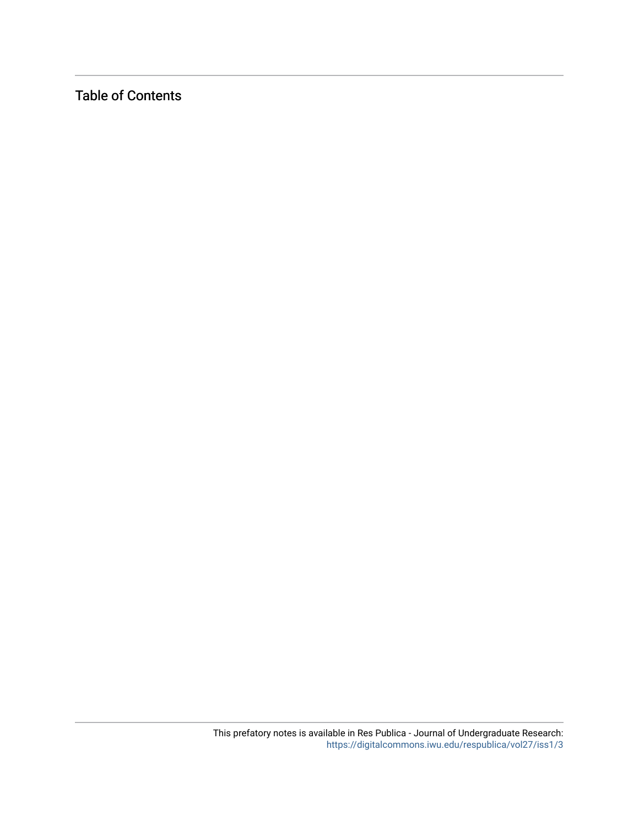Table of Contents